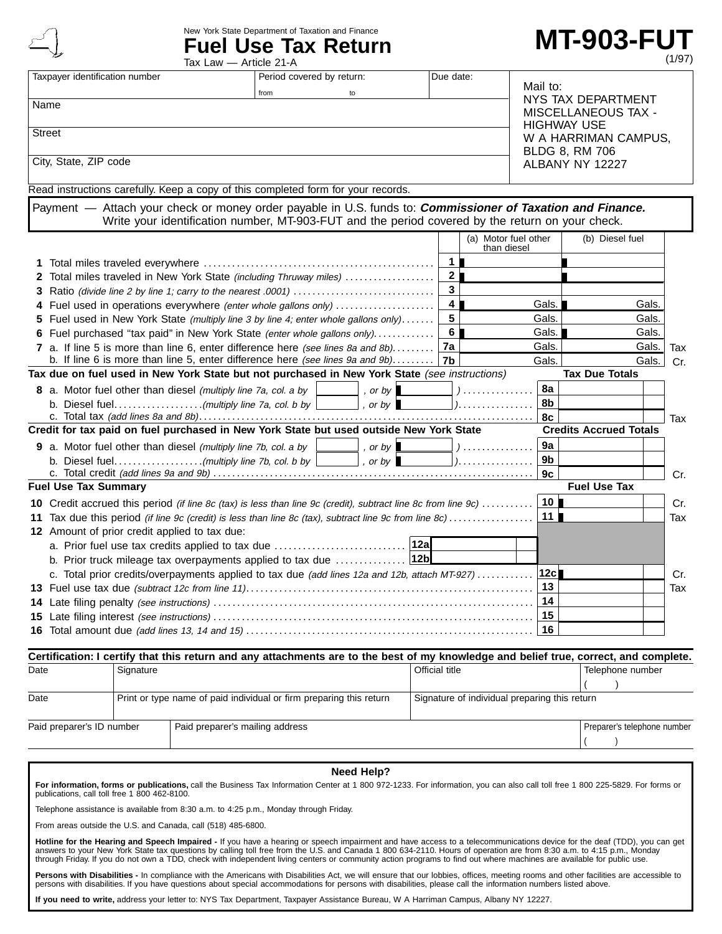New York State Department of Taxation and Finance

**Fuel Use Tax Return**

# **MT-903-FUT**

 $($ 

|                                                                               | ⋙                              | Tax Law — Article 21-A                                                                                                                |                           |                        |                  |                      |                    |                                                  | (1/97)       |  |
|-------------------------------------------------------------------------------|--------------------------------|---------------------------------------------------------------------------------------------------------------------------------------|---------------------------|------------------------|------------------|----------------------|--------------------|--------------------------------------------------|--------------|--|
|                                                                               | Taxpayer identification number |                                                                                                                                       | Period covered by return: |                        | Due date:        |                      |                    |                                                  |              |  |
|                                                                               |                                |                                                                                                                                       | from                      | to                     |                  |                      | Mail to:           |                                                  |              |  |
|                                                                               | Name                           |                                                                                                                                       |                           |                        |                  |                      | NYS TAX DEPARTMENT |                                                  |              |  |
|                                                                               |                                |                                                                                                                                       |                           |                        |                  |                      |                    | <b>MISCELLANEOUS TAX -</b><br><b>HIGHWAY USE</b> |              |  |
|                                                                               | <b>Street</b>                  |                                                                                                                                       |                           |                        |                  |                      |                    | W A HARRIMAN CAMPUS,                             |              |  |
|                                                                               |                                |                                                                                                                                       |                           |                        |                  |                      |                    | <b>BLDG 8, RM 706</b>                            |              |  |
|                                                                               | City, State, ZIP code          |                                                                                                                                       |                           |                        |                  |                      |                    | ALBANY NY 12227                                  |              |  |
|                                                                               |                                |                                                                                                                                       |                           |                        |                  |                      |                    |                                                  |              |  |
|                                                                               |                                | Read instructions carefully. Keep a copy of this completed form for your records.                                                     |                           |                        |                  |                      |                    |                                                  |              |  |
|                                                                               |                                | Payment - Attach your check or money order payable in U.S. funds to: Commissioner of Taxation and Finance.                            |                           |                        |                  |                      |                    |                                                  |              |  |
|                                                                               |                                | Write your identification number, MT-903-FUT and the period covered by the return on your check.                                      |                           |                        |                  |                      |                    |                                                  |              |  |
|                                                                               |                                |                                                                                                                                       |                           |                        |                  | (a) Motor fuel other |                    | (b) Diesel fuel                                  |              |  |
|                                                                               |                                |                                                                                                                                       |                           |                        |                  | than diesel          |                    |                                                  |              |  |
|                                                                               |                                |                                                                                                                                       |                           |                        | $1 \blacksquare$ |                      |                    |                                                  |              |  |
|                                                                               |                                | 2 Total miles traveled in New York State (including Thruway miles)                                                                    |                           |                        | 2 <sub>l</sub>   |                      |                    |                                                  |              |  |
|                                                                               |                                |                                                                                                                                       |                           |                        | 3                |                      |                    |                                                  |              |  |
|                                                                               |                                | 4 Fuel used in operations everywhere (enter whole gallons only)                                                                       |                           |                        | 4 <b>F</b>       |                      | Gals.              | Gals.                                            |              |  |
|                                                                               |                                | 5 Fuel used in New York State (multiply line 3 by line 4; enter whole gallons only)                                                   |                           |                        | 5                |                      | Gals.              | Gals.                                            |              |  |
|                                                                               |                                | 6 Fuel purchased "tax paid" in New York State (enter whole gallons only)                                                              |                           |                        | 6 I              |                      | Gals.              | Gals.                                            |              |  |
|                                                                               |                                | 7 a. If line 5 is more than line 6, enter difference here (see lines 8a and 8b)                                                       |                           |                        | 7a               |                      | Gals.              |                                                  | Gals.<br>Tax |  |
| b. If line 6 is more than line 5, enter difference here (see lines 9a and 9b) |                                |                                                                                                                                       |                           |                        | 7b               |                      | Gals.              |                                                  | Gals.<br>Cr. |  |
|                                                                               |                                | Tax due on fuel used in New York State but not purchased in New York State (see instructions)                                         |                           |                        |                  |                      |                    | <b>Tax Due Totals</b>                            |              |  |
|                                                                               |                                | 8 a. Motor fuel other than diesel (multiply line 7a, col. a by                                                                        |                           | , or by $\mathsf I$    |                  | <u>)</u>             | 8a                 |                                                  |              |  |
|                                                                               |                                |                                                                                                                                       |                           | , or by                |                  | ).                   | 8b                 |                                                  |              |  |
|                                                                               |                                |                                                                                                                                       |                           |                        |                  |                      | 8c                 |                                                  | Tax          |  |
|                                                                               |                                | Credit for tax paid on fuel purchased in New York State but used outside New York State                                               |                           |                        |                  |                      |                    | <b>Credits Accrued Totals</b>                    |              |  |
|                                                                               |                                | <b>9</b> a. Motor fuel other than diesel (multiply line 7b, col. a by                                                                 |                           | , or by $\blacksquare$ |                  | )                    | 9a                 |                                                  |              |  |
|                                                                               |                                |                                                                                                                                       |                           | , or by                |                  | ).                   | 9b                 |                                                  |              |  |
|                                                                               |                                |                                                                                                                                       |                           |                        |                  |                      | 9c                 |                                                  | Cr.          |  |
|                                                                               | <b>Fuel Use Tax Summary</b>    |                                                                                                                                       |                           |                        |                  |                      |                    | <b>Fuel Use Tax</b>                              |              |  |
|                                                                               |                                | <b>10</b> Credit accrued this period (if line 8c (tax) is less than line 9c (credit), subtract line 8c from line 9c)                  |                           |                        |                  |                      | 10                 |                                                  | Cr.          |  |
|                                                                               |                                | 11 Tax due this period (if line 9c (credit) is less than line 8c (tax), subtract line 9c from line 8c)                                |                           |                        |                  |                      | 11                 |                                                  | Tax          |  |
|                                                                               |                                | 12 Amount of prior credit applied to tax due:                                                                                         |                           |                        |                  |                      |                    |                                                  |              |  |
|                                                                               |                                | a. Prior fuel use tax credits applied to tax due                                                                                      |                           | 12a                    |                  |                      |                    |                                                  |              |  |
|                                                                               |                                | b. Prior truck mileage tax overpayments applied to tax due                                                                            |                           | 12 <sub>b</sub>        |                  |                      |                    |                                                  |              |  |
|                                                                               |                                | c. Total prior credits/overpayments applied to tax due (add lines 12a and 12b, attach MT-927)                                         |                           |                        |                  |                      | 12c                |                                                  | Cr.          |  |
|                                                                               |                                |                                                                                                                                       |                           |                        |                  |                      | 13                 |                                                  | Tax          |  |
|                                                                               |                                |                                                                                                                                       |                           |                        |                  |                      | 14                 |                                                  |              |  |
|                                                                               |                                |                                                                                                                                       |                           |                        |                  |                      | 15                 |                                                  |              |  |
|                                                                               |                                |                                                                                                                                       |                           |                        |                  |                      | 16                 |                                                  |              |  |
|                                                                               |                                |                                                                                                                                       |                           |                        |                  |                      |                    |                                                  |              |  |
|                                                                               |                                | Certification: I certify that this return and any attachments are to the best of my knowledge and belief true, correct, and complete. |                           |                        |                  |                      |                    |                                                  |              |  |
| Date                                                                          |                                | Signature                                                                                                                             |                           |                        | Official title   |                      |                    | Telephone number                                 |              |  |
|                                                                               |                                |                                                                                                                                       |                           |                        |                  |                      |                    |                                                  |              |  |

Date **Print or type name of paid individual or firm preparing this return** Signature of individual preparing this return Paid preparer's ID number | Paid preparer's mailing address Preparer's method of Preparer's telephone number

#### **Need Help?**

**For information, forms or publications,** call the Business Tax Information Center at 1 800 972-1233. For information, you can also call toll free 1 800 225-5829. For forms or publications, call toll free 1 800 462-8100.

Telephone assistance is available from 8:30 a.m. to 4:25 p.m., Monday through Friday.

From areas outside the U.S. and Canada, call (518) 485-6800.

**Hotline for the Hearing and Speech Impaired -** If you have a hearing or speech impairment and have access to a telecommunications device for the deaf (TDD), you can get<br>answers to your New York State tax questions by call

Persons with Disabilities - In compliance with the Americans with Disabilities Act, we will ensure that our lobbies, offices, meeting rooms and other facilities are accessible to persons with disabilities. If you have questions about special accommodations for persons with disabilities, please call the information numbers listed above.

**If you need to write,** address your letter to: NYS Tax Department, Taxpayer Assistance Bureau, W A Harriman Campus, Albany NY 12227.